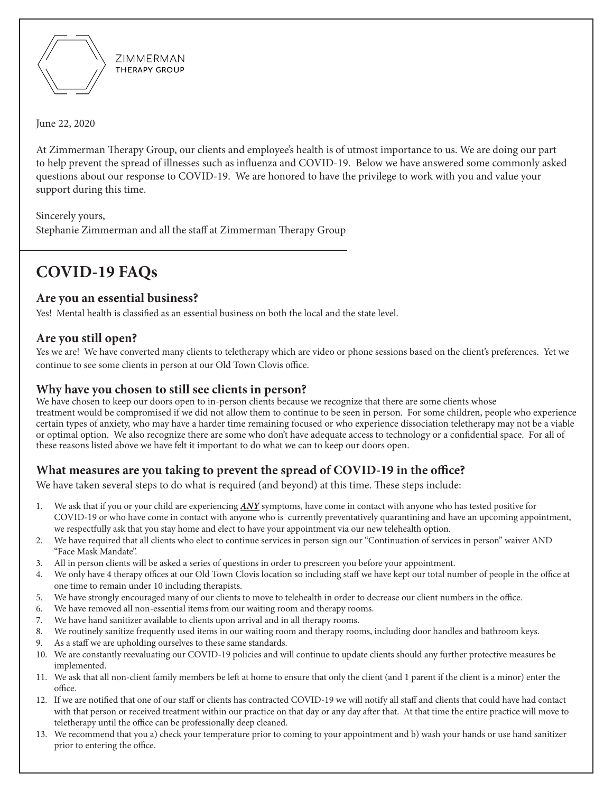

**7IMMFRMAN** THERAPY GROUP

June 22, 2020

At Zimmerman Therapy Group, our clients and employee's health is of utmost importance to us. We are doing our part to help prevent the spread of illnesses such as influenza and COVID-19. Below we have answered some commonly asked questions about our response to COVID-19. We are honored to have the privilege to work with you and value your support during this time.

Sincerely yours,

Stephanie Zimmerman and all the staff at Zimmerman Therapy Group

# **COVID-19 FAQs**

### **Are you an essential business?**

Yes! Mental health is classified as an essential business on both the local and the state level.

## **Are you still open?**

Yes we are! We have converted many clients to teletherapy which are video or phone sessions based on the client's preferences. Yet we continue to see some clients in person at our Old Town Clovis office.

## **Why have you chosen to still see clients in person?**

We have chosen to keep our doors open to in-person clients because we recognize that there are some clients whose treatment would be compromised if we did not allow them to continue to be seen in person. For some children, people who experience certain types of anxiety, who may have a harder time remaining focused or who experience dissociation teletherapy may not be a viable or optimal option. We also recognize there are some who don't have adequate access to technology or a confidential space. For all of these reasons listed above we have felt it important to do what we can to keep our doors open.

## **What measures are you taking to prevent the spread of COVID-19 in the office?**

We have taken several steps to do what is required (and beyond) at this time. These steps include:

- 1. We ask that if you or your child are experiencing *ANY* symptoms, have come in contact with anyone who has tested positive for COVID-19 or who have come in contact with anyone who is currently preventatively quarantining and have an upcoming appointment, we respectfully ask that you stay home and elect to have your appointment via our new telehealth option.
- 2. We have required that all clients who elect to continue services in person sign our "Continuation of services in person" waiver AND "Face Mask Mandate".
- 3. All in person clients will be asked a series of questions in order to prescreen you before your appointment.
- 4. We only have 4 therapy offices at our Old Town Clovis location so including staff we have kept our total number of people in the office at one time to remain under 10 including therapists.
- 5. We have strongly encouraged many of our clients to move to telehealth in order to decrease our client numbers in the office.
- 6. We have removed all non-essential items from our waiting room and therapy rooms.
- 7. We have hand sanitizer available to clients upon arrival and in all therapy rooms.
- 8. We routinely sanitize frequently used items in our waiting room and therapy rooms, including door handles and bathroom keys.
- 9. As a staff we are upholding ourselves to these same standards.
- 10. We are constantly reevaluating our COVID-19 policies and will continue to update clients should any further protective measures be implemented.
- 11. We ask that all non-client family members be left at home to ensure that only the client (and 1 parent if the client is a minor) enter the office.
- 12. If we are notified that one of our staff or clients has contracted COVID-19 we will notify all staff and clients that could have had contact with that person or received treatment within our practice on that day or any day after that. At that time the entire practice will move to teletherapy until the office can be professionally deep cleaned.
- 13. We recommend that you a) check your temperature prior to coming to your appointment and b) wash your hands or use hand sanitizer prior to entering the office.